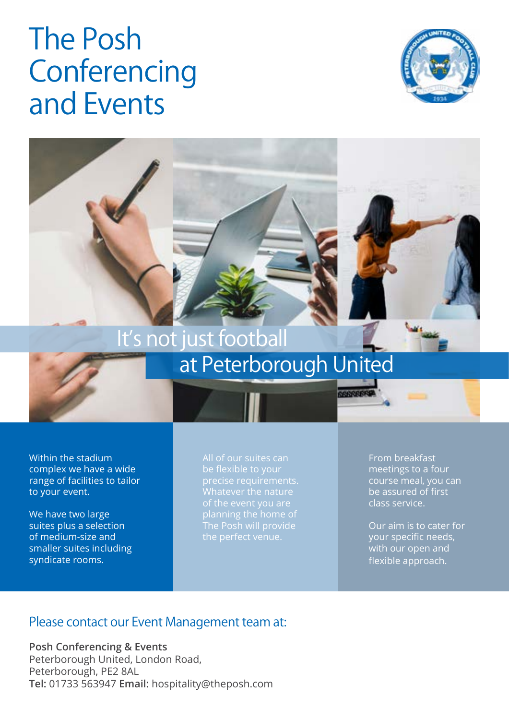# The Posh **Conferencing** and Events





# at Peterborough United

Within the stadium complex we have a wide range of facilities to tailor to your event.

We have two large suites plus a selection of medium-size and smaller suites including syndicate rooms.

All of our suites can precise requirements. Whatever the nature The Posh will provide

From breakfast meetings to a four course meal, you can be assured of first class service.

Our aim is to cater for your specific needs, with our open and flexible approach.

#### Please contact our Event Management team at:

**Posh Conferencing & Events** Peterborough United, London Road, Peterborough, PE2 8AL **Tel:** 01733 563947 **Email:** hospitality@theposh.com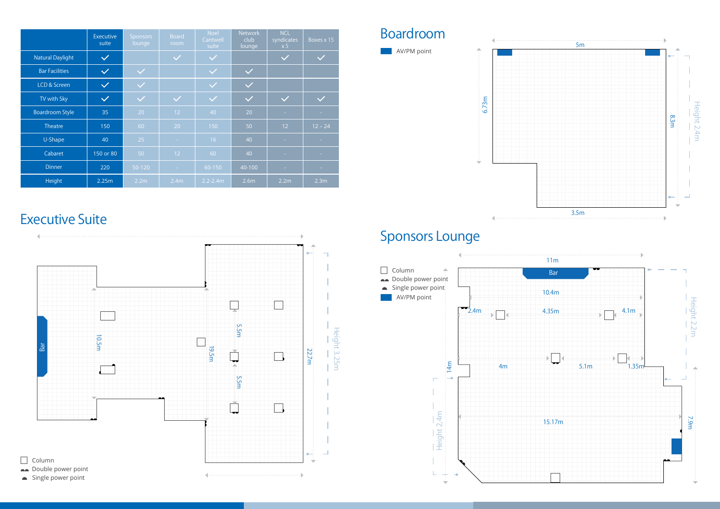|                         | <b>Executive</b><br>suite | <b>Sponsors</b><br>lounge | <b>Board</b><br>room | <b>Noel</b><br>Cantwell<br>suite | Network<br>club<br>lounge | <b>NCL</b><br>syndicates<br>x 5 | Boxes $x$ 15 |
|-------------------------|---------------------------|---------------------------|----------------------|----------------------------------|---------------------------|---------------------------------|--------------|
| <b>Natural Daylight</b> | $\checkmark$              |                           | $\checkmark$         | $\checkmark$                     |                           | $\checkmark$                    | $\checkmark$ |
| <b>Bar Facilities</b>   | $\checkmark$              | $\checkmark$              |                      | $\checkmark$                     | $\checkmark$              |                                 |              |
| <b>LCD &amp; Screen</b> | $\checkmark$              | $\checkmark$              |                      | $\checkmark$                     | $\checkmark$              |                                 |              |
| TV with Sky             | $\checkmark$              | $\checkmark$              | $\checkmark$         | $\checkmark$                     | $\checkmark$              | $\checkmark$                    | $\checkmark$ |
| <b>Boardroom Style</b>  | 35                        | 20                        | 12                   | 40                               | 20                        | $\sim$                          | $\sim$       |
| Theatre                 | 150                       | 60                        | 20                   | 150                              | 50                        | 12                              | $12 - 24$    |
| U-Shape                 | 40                        | 25                        | $\sim$               | 16                               | 40                        | $\sim 10$                       | m.           |
| Cabaret                 | 150 or 80                 | 50                        | 12                   | 60                               | 40                        | H.                              | $\sim 10$    |
| <b>Dinner</b>           | 220                       | 50-120                    | $\sim$               | 60-150                           | 40-100                    | $\sim 10$                       | $\sim 10$    |
| Height                  | 2.25m                     | 2.2m                      | 2.4m                 | $2.2 - 2.4m$                     | 2.6m                      | 2.2m                            | 2.3m         |

# Executive Suite

## Boardroom

## Sponsors Lounge